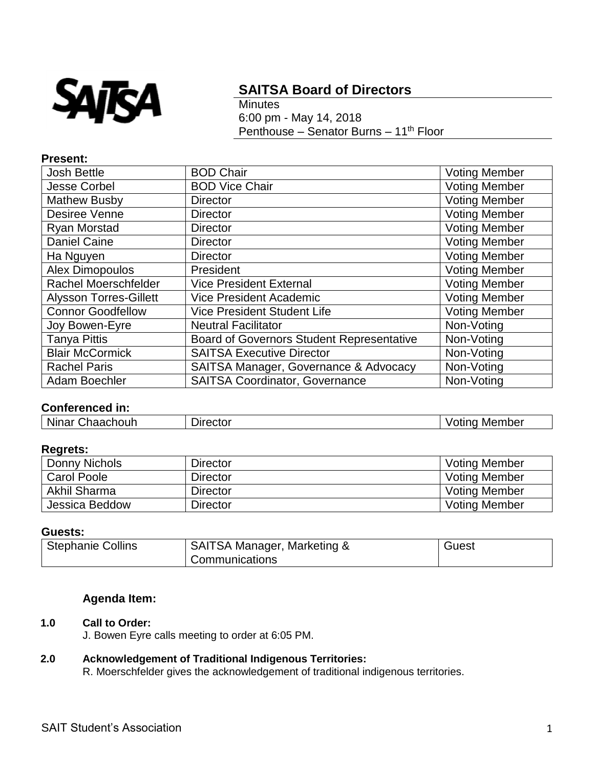

# **SAITSA Board of Directors**

**Minutes** 6:00 pm - May 14, 2018 Penthouse – Senator Burns – 11<sup>th</sup> Floor

#### **Present:**

| <b>Josh Bettle</b>            | <b>BOD Chair</b>                                 | <b>Voting Member</b> |
|-------------------------------|--------------------------------------------------|----------------------|
| <b>Jesse Corbel</b>           | <b>BOD Vice Chair</b>                            | <b>Voting Member</b> |
| <b>Mathew Busby</b>           | <b>Director</b>                                  | <b>Voting Member</b> |
| Desiree Venne                 | <b>Director</b>                                  | <b>Voting Member</b> |
| Ryan Morstad                  | <b>Director</b>                                  | <b>Voting Member</b> |
| <b>Daniel Caine</b>           | <b>Director</b>                                  | <b>Voting Member</b> |
| Ha Nguyen                     | <b>Director</b>                                  | <b>Voting Member</b> |
| <b>Alex Dimopoulos</b>        | President                                        | <b>Voting Member</b> |
| <b>Rachel Moerschfelder</b>   | <b>Vice President External</b>                   | <b>Voting Member</b> |
| <b>Alysson Torres-Gillett</b> | <b>Vice President Academic</b>                   | <b>Voting Member</b> |
| <b>Connor Goodfellow</b>      | <b>Vice President Student Life</b>               | <b>Voting Member</b> |
| Joy Bowen-Eyre                | <b>Neutral Facilitator</b>                       | Non-Voting           |
| <b>Tanya Pittis</b>           | <b>Board of Governors Student Representative</b> | Non-Voting           |
| <b>Blair McCormick</b>        | <b>SAITSA Executive Director</b>                 | Non-Voting           |
| <b>Rachel Paris</b>           | SAITSA Manager, Governance & Advocacy            | Non-Voting           |
| Adam Boechler                 | <b>SAITSA Coordinator, Governance</b>            | Non-Voting           |

# **Conferenced in:**

| .<br>Ninar<br>າour<br>$+ - + -$<br>--<br>$- - -$<br>.<br>~<br>. .ne<br>ブレい<br>_________ | Member |
|-----------------------------------------------------------------------------------------|--------|
|-----------------------------------------------------------------------------------------|--------|

#### **Regrets:**

| Donny Nichols      | <b>Director</b> | <b>Voting Member</b> |
|--------------------|-----------------|----------------------|
| <b>Carol Poole</b> | <b>Director</b> | <b>Voting Member</b> |
| Akhil Sharma       | Director        | <b>Voting Member</b> |
| Jessica Beddow     | Director        | <b>Voting Member</b> |

#### **Guests:**

| <b>Stephanie Collins</b> | <b>SAITSA Manager, Marketing &amp;</b> | Guest |
|--------------------------|----------------------------------------|-------|
|                          | Communications                         |       |

# **Agenda Item:**

#### **1.0 Call to Order:**

J. Bowen Eyre calls meeting to order at 6:05 PM.

# **2.0 Acknowledgement of Traditional Indigenous Territories:**

R. Moerschfelder gives the acknowledgement of traditional indigenous territories.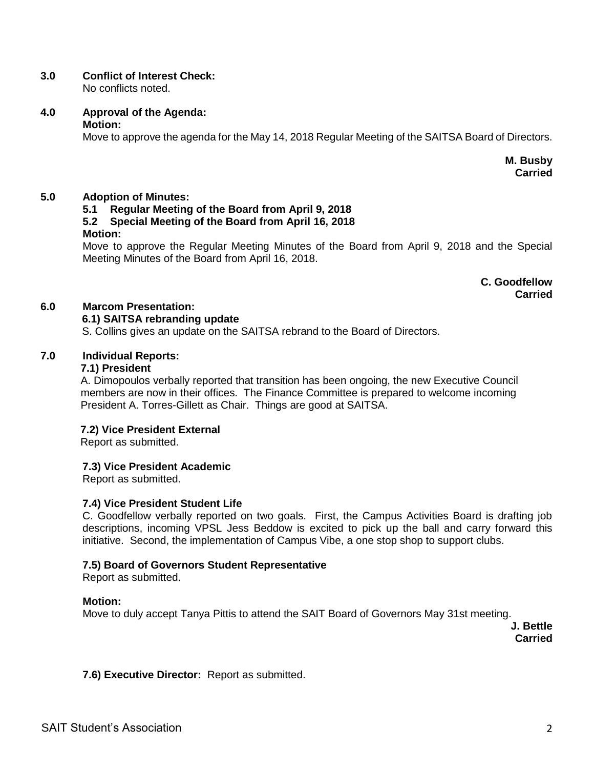# **3.0 Conflict of Interest Check:**

No conflicts noted.

# **4.0 Approval of the Agenda:**

## **Motion:**

Move to approve the agenda for the May 14, 2018 Regular Meeting of the SAITSA Board of Directors.

**M. Busby Carried**

## **5.0 Adoption of Minutes:**

## **5.1 Regular Meeting of the Board from April 9, 2018 5.2 Special Meeting of the Board from April 16, 2018 Motion:**

Move to approve the Regular Meeting Minutes of the Board from April 9, 2018 and the Special Meeting Minutes of the Board from April 16, 2018.

> **C. Goodfellow Carried**

# **6.0 Marcom Presentation:**

# **6.1) SAITSA rebranding update**

S. Collins gives an update on the SAITSA rebrand to the Board of Directors.

## **7.0 Individual Reports:**

## **7.1) President**

A. Dimopoulos verbally reported that transition has been ongoing, the new Executive Council members are now in their offices. The Finance Committee is prepared to welcome incoming President A. Torres-Gillett as Chair. Things are good at SAITSA.

## **7.2) Vice President External**

Report as submitted.

## **7.3) Vice President Academic**

Report as submitted.

## **7.4) Vice President Student Life**

C. Goodfellow verbally reported on two goals. First, the Campus Activities Board is drafting job descriptions, incoming VPSL Jess Beddow is excited to pick up the ball and carry forward this initiative. Second, the implementation of Campus Vibe, a one stop shop to support clubs.

## **7.5) Board of Governors Student Representative**

Report as submitted.

## **Motion:**

Move to duly accept Tanya Pittis to attend the SAIT Board of Governors May 31st meeting.

**J. Bettle Carried**

**7.6) Executive Director:** Report as submitted.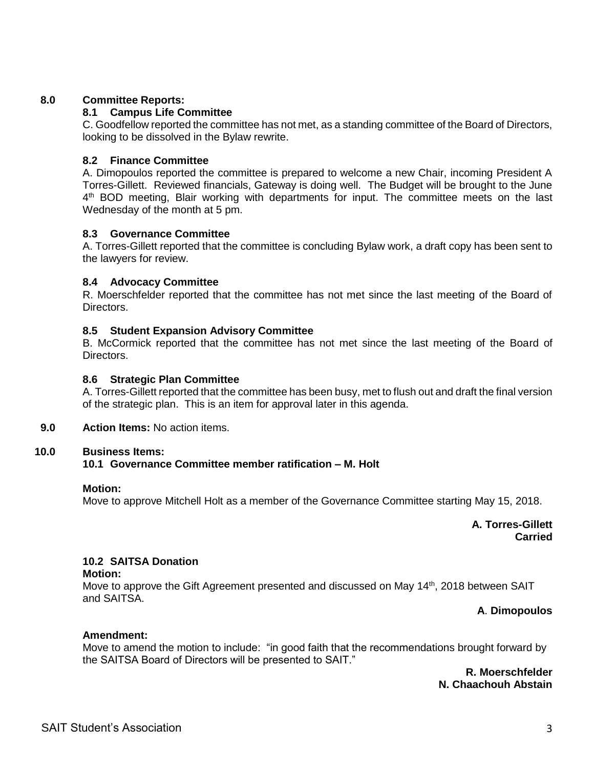## **8.0 Committee Reports:**

# **8.1 Campus Life Committee**

C. Goodfellow reported the committee has not met, as a standing committee of the Board of Directors, looking to be dissolved in the Bylaw rewrite.

## **8.2 Finance Committee**

A. Dimopoulos reported the committee is prepared to welcome a new Chair, incoming President A Torres-Gillett. Reviewed financials, Gateway is doing well. The Budget will be brought to the June 4<sup>th</sup> BOD meeting, Blair working with departments for input. The committee meets on the last Wednesday of the month at 5 pm.

## **8.3 Governance Committee**

A. Torres-Gillett reported that the committee is concluding Bylaw work, a draft copy has been sent to the lawyers for review.

#### **8.4 Advocacy Committee**

R. Moerschfelder reported that the committee has not met since the last meeting of the Board of Directors.

#### **8.5 Student Expansion Advisory Committee**

B. McCormick reported that the committee has not met since the last meeting of the Board of **Directors** 

#### **8.6 Strategic Plan Committee**

A. Torres-Gillett reported that the committee has been busy, met to flush out and draft the final version of the strategic plan. This is an item for approval later in this agenda.

**9.0 Action Items:** No action items.

#### **10.0 Business Items:**

## **10.1 Governance Committee member ratification – M. Holt**

#### **Motion:**

Move to approve Mitchell Holt as a member of the Governance Committee starting May 15, 2018.

## **A. Torres-Gillett Carried**

## **10.2 SAITSA Donation**

**Motion:**

Move to approve the Gift Agreement presented and discussed on May 14<sup>th</sup>, 2018 between SAIT and SAITSA.

#### **A**. **Dimopoulos**

## **Amendment:**

Move to amend the motion to include: "in good faith that the recommendations brought forward by the SAITSA Board of Directors will be presented to SAIT."

> **R. Moerschfelder N. Chaachouh Abstain**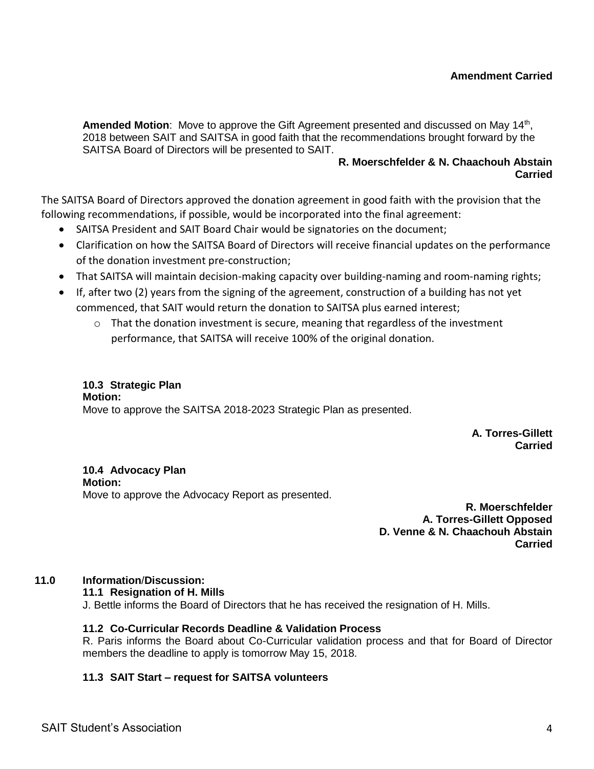## **Amendment Carried**

Amended Motion: Move to approve the Gift Agreement presented and discussed on May 14<sup>th</sup>, 2018 between SAIT and SAITSA in good faith that the recommendations brought forward by the SAITSA Board of Directors will be presented to SAIT.

#### **R. Moerschfelder & N. Chaachouh Abstain Carried**

The SAITSA Board of Directors approved the donation agreement in good faith with the provision that the following recommendations, if possible, would be incorporated into the final agreement:

- SAITSA President and SAIT Board Chair would be signatories on the document;
- Clarification on how the SAITSA Board of Directors will receive financial updates on the performance of the donation investment pre-construction;
- That SAITSA will maintain decision-making capacity over building-naming and room-naming rights;
- If, after two (2) years from the signing of the agreement, construction of a building has not yet commenced, that SAIT would return the donation to SAITSA plus earned interest;
	- $\circ$  That the donation investment is secure, meaning that regardless of the investment performance, that SAITSA will receive 100% of the original donation.

#### **10.3 Strategic Plan Motion:** Move to approve the SAITSA 2018-2023 Strategic Plan as presented.

**A. Torres-Gillett Carried**

**10.4 Advocacy Plan Motion:** Move to approve the Advocacy Report as presented.

**R. Moerschfelder A. Torres-Gillett Opposed D. Venne & N. Chaachouh Abstain Carried**

# **11.0 Information**/**Discussion:**

# **11.1 Resignation of H. Mills**

J. Bettle informs the Board of Directors that he has received the resignation of H. Mills.

## **11.2 Co-Curricular Records Deadline & Validation Process**

R. Paris informs the Board about Co-Curricular validation process and that for Board of Director members the deadline to apply is tomorrow May 15, 2018.

# **11.3 SAIT Start – request for SAITSA volunteers**